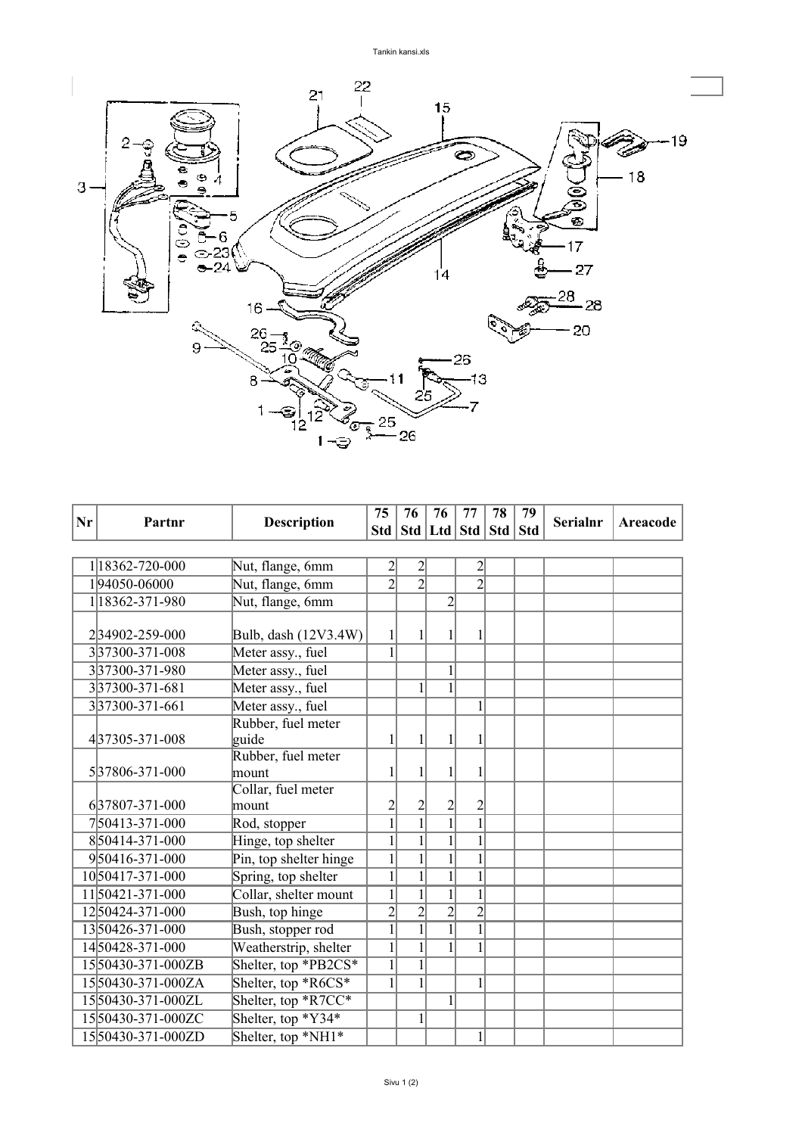

| Nr | Partnr            | <b>Description</b>          | 75             | 76                                | 76             | 77             | 78 | 79 | Serialnr | Areacode |
|----|-------------------|-----------------------------|----------------|-----------------------------------|----------------|----------------|----|----|----------|----------|
|    |                   |                             |                | Std   Std   Ltd   Std   Std   Std |                |                |    |    |          |          |
|    |                   |                             |                |                                   |                |                |    |    |          |          |
|    | 1 18362-720-000   | Nut, flange, 6mm            | $\overline{2}$ | $\overline{2}$                    |                | $\overline{2}$ |    |    |          |          |
|    | 194050-06000      | Nut, flange, 6mm            | $\overline{2}$ | $\overline{2}$                    |                | $\overline{2}$ |    |    |          |          |
|    | 1 18362-371-980   | Nut, flange, 6mm            |                |                                   | $\overline{2}$ |                |    |    |          |          |
|    | 234902-259-000    | Bulb, dash (12V3.4W)        | $\mathbf{1}$   | 1                                 | 1              |                |    |    |          |          |
|    | 337300-371-008    | Meter assy., fuel           | $\mathbf{1}$   |                                   |                |                |    |    |          |          |
|    | 337300-371-980    | Meter assy., fuel           |                |                                   | $\mathbf{1}$   |                |    |    |          |          |
|    | 337300-371-681    | Meter assy., fuel           |                | $\mathbf{1}$                      | $\overline{1}$ |                |    |    |          |          |
|    | 337300-371-661    | Meter assy., fuel           |                |                                   |                | 1              |    |    |          |          |
|    |                   | Rubber, fuel meter          |                |                                   |                |                |    |    |          |          |
|    | 437305-371-008    | guide                       | 1              | 1                                 | 1              |                |    |    |          |          |
|    |                   | Rubber, fuel meter          |                |                                   |                |                |    |    |          |          |
|    | 537806-371-000    | mount<br>Collar, fuel meter |                |                                   |                |                |    |    |          |          |
|    | 637807-371-000    | mount                       | $\overline{2}$ | $\overline{\mathbf{c}}$           |                | $\overline{2}$ |    |    |          |          |
|    | 750413-371-000    | Rod, stopper                | $\overline{1}$ | $\overline{1}$                    | $rac{2}{1}$    | $\overline{1}$ |    |    |          |          |
|    | 850414-371-000    | Hinge, top shelter          | $\mathbf{1}$   | $\overline{1}$                    | $\overline{1}$ | $\mathbf{1}$   |    |    |          |          |
|    | 950416-371-000    | Pin, top shelter hinge      | $\mathbf{1}$   | $\mathbf{1}$                      | $\overline{1}$ | 1              |    |    |          |          |
|    | 1050417-371-000   | Spring, top shelter         | $\overline{1}$ | $\overline{1}$                    | $\overline{1}$ |                |    |    |          |          |
|    | 1150421-371-000   | Collar, shelter mount       | $\overline{1}$ | $\overline{1}$                    | $\overline{1}$ | $\mathbf{1}$   |    |    |          |          |
|    | 1250424-371-000   | Bush, top hinge             | $\overline{2}$ | $\overline{2}$                    | $\overline{2}$ | $\overline{2}$ |    |    |          |          |
|    | 1350426-371-000   | Bush, stopper rod           | $\overline{1}$ | $\overline{1}$                    | $\overline{1}$ | 1              |    |    |          |          |
|    | 1450428-371-000   | Weatherstrip, shelter       | $\mathbf{1}$   | $\overline{1}$                    | $\overline{1}$ |                |    |    |          |          |
|    | 1550430-371-000ZB | Shelter, top *PB2CS*        | $\overline{1}$ | $\overline{1}$                    |                |                |    |    |          |          |
|    | 1550430-371-000ZA | Shelter, top *R6CS*         | $\mathbf{1}$   | $\mathbf{1}$                      |                | 1              |    |    |          |          |
|    | 1550430-371-000ZL | Shelter, top *R7CC*         |                |                                   | $\mathbf{1}$   |                |    |    |          |          |
|    | 1550430-371-000ZC | Shelter, top *Y34*          |                | $\mathbf{1}$                      |                |                |    |    |          |          |
|    | 1550430-371-000ZD | Shelter, top *NH1*          |                |                                   |                | 1              |    |    |          |          |